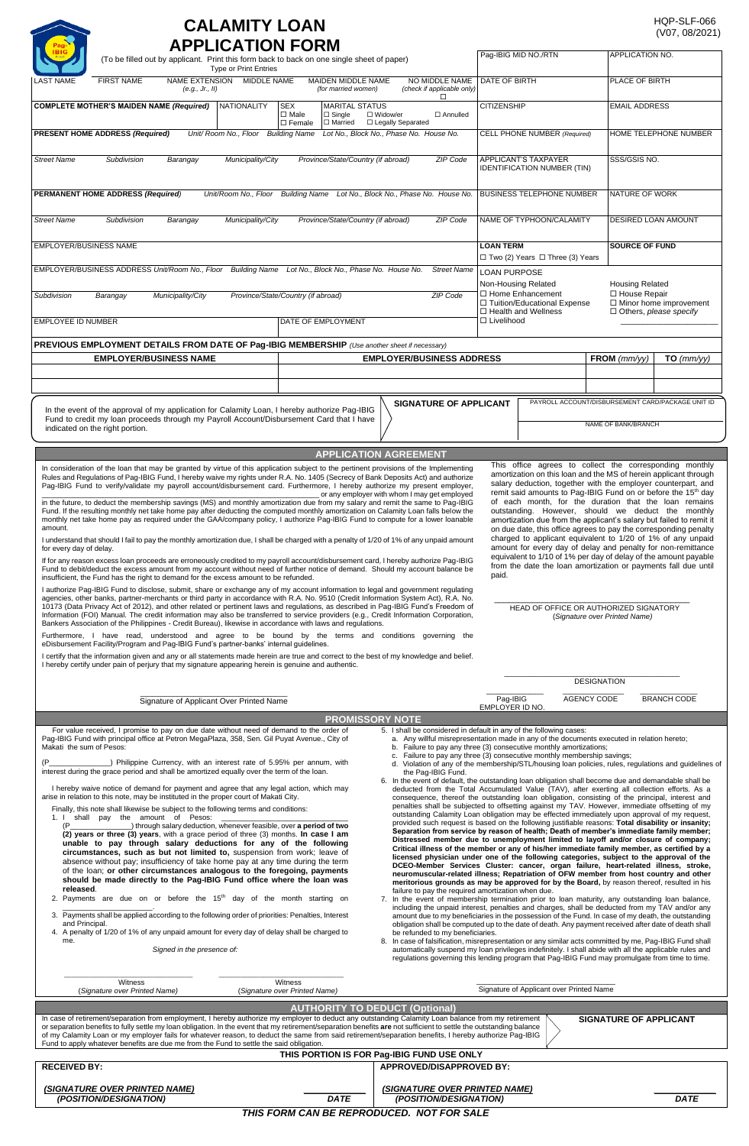## **CALAMITY LOAN APPLICATION FORM**

| Type or Print Entries                                                                                                                                                                                                                                                                                                                                                                                                                                                                                                                                                                                                                                                                                                                                                                                                                                                                                                                                                                                                                                                                                                                                                                                                                                                                                                                                                                                                                                                                                                                                                                                                                                                        | Pag-IBIG MID NO./RTN<br>APPLICATION NO.<br>(To be filled out by applicant. Print this form back to back on one single sheet of paper) |                                                                                                              |                                                                                                                                                                                                                                                                                                                                                               |                                                                                                                                                                                                                                                                                                                                                                                                                                                                                                                                                                                                                                                                                                                                                                                                                                                                                                                                                                                                                                                                                                                                                                                                                                                                                                                                                                                                                                                                                                                                                                                                                                                                                                                                                                                                                                                                                                                                                                                                                                                                                                                                 |  |
|------------------------------------------------------------------------------------------------------------------------------------------------------------------------------------------------------------------------------------------------------------------------------------------------------------------------------------------------------------------------------------------------------------------------------------------------------------------------------------------------------------------------------------------------------------------------------------------------------------------------------------------------------------------------------------------------------------------------------------------------------------------------------------------------------------------------------------------------------------------------------------------------------------------------------------------------------------------------------------------------------------------------------------------------------------------------------------------------------------------------------------------------------------------------------------------------------------------------------------------------------------------------------------------------------------------------------------------------------------------------------------------------------------------------------------------------------------------------------------------------------------------------------------------------------------------------------------------------------------------------------------------------------------------------------|---------------------------------------------------------------------------------------------------------------------------------------|--------------------------------------------------------------------------------------------------------------|---------------------------------------------------------------------------------------------------------------------------------------------------------------------------------------------------------------------------------------------------------------------------------------------------------------------------------------------------------------|---------------------------------------------------------------------------------------------------------------------------------------------------------------------------------------------------------------------------------------------------------------------------------------------------------------------------------------------------------------------------------------------------------------------------------------------------------------------------------------------------------------------------------------------------------------------------------------------------------------------------------------------------------------------------------------------------------------------------------------------------------------------------------------------------------------------------------------------------------------------------------------------------------------------------------------------------------------------------------------------------------------------------------------------------------------------------------------------------------------------------------------------------------------------------------------------------------------------------------------------------------------------------------------------------------------------------------------------------------------------------------------------------------------------------------------------------------------------------------------------------------------------------------------------------------------------------------------------------------------------------------------------------------------------------------------------------------------------------------------------------------------------------------------------------------------------------------------------------------------------------------------------------------------------------------------------------------------------------------------------------------------------------------------------------------------------------------------------------------------------------------|--|
| NAME EXTENSION MIDDLE NAME<br><b>FIRST NAME</b><br>MAIDEN MIDDLE NAME<br>NO MIDDLE NAME<br>LAST NAME<br>(for married women)<br>(check if applicable only)<br>(e.g., Jr., II)                                                                                                                                                                                                                                                                                                                                                                                                                                                                                                                                                                                                                                                                                                                                                                                                                                                                                                                                                                                                                                                                                                                                                                                                                                                                                                                                                                                                                                                                                                 |                                                                                                                                       |                                                                                                              | DATE OF BIRTH                                                                                                                                                                                                                                                                                                                                                 | PLACE OF BIRTH                                                                                                                                                                                                                                                                                                                                                                                                                                                                                                                                                                                                                                                                                                                                                                                                                                                                                                                                                                                                                                                                                                                                                                                                                                                                                                                                                                                                                                                                                                                                                                                                                                                                                                                                                                                                                                                                                                                                                                                                                                                                                                                  |  |
| <b>COMPLETE MOTHER'S MAIDEN NAME (Required)</b><br><b>NATIONALITY</b>                                                                                                                                                                                                                                                                                                                                                                                                                                                                                                                                                                                                                                                                                                                                                                                                                                                                                                                                                                                                                                                                                                                                                                                                                                                                                                                                                                                                                                                                                                                                                                                                        | <b>SEX</b><br><b>MARITAL STATUS</b><br>$\Box$ Male<br>$\Box$ Single<br>$\Box$ Female<br>□ Married                                     | □<br>□ Widow/er<br>□ Annulled<br>□ Legally Separated                                                         | <b>CITIZENSHIP</b>                                                                                                                                                                                                                                                                                                                                            | <b>EMAIL ADDRESS</b>                                                                                                                                                                                                                                                                                                                                                                                                                                                                                                                                                                                                                                                                                                                                                                                                                                                                                                                                                                                                                                                                                                                                                                                                                                                                                                                                                                                                                                                                                                                                                                                                                                                                                                                                                                                                                                                                                                                                                                                                                                                                                                            |  |
| Unit/ Room No., Floor Building Name<br><b>PRESENT HOME ADDRESS (Required)</b>                                                                                                                                                                                                                                                                                                                                                                                                                                                                                                                                                                                                                                                                                                                                                                                                                                                                                                                                                                                                                                                                                                                                                                                                                                                                                                                                                                                                                                                                                                                                                                                                |                                                                                                                                       | Lot No., Block No., Phase No. House No.                                                                      | CELL PHONE NUMBER (Required)                                                                                                                                                                                                                                                                                                                                  | HOME TELEPHONE NUMBER                                                                                                                                                                                                                                                                                                                                                                                                                                                                                                                                                                                                                                                                                                                                                                                                                                                                                                                                                                                                                                                                                                                                                                                                                                                                                                                                                                                                                                                                                                                                                                                                                                                                                                                                                                                                                                                                                                                                                                                                                                                                                                           |  |
| <b>Street Name</b><br>Subdivision<br>Municipality/City<br>Barangay                                                                                                                                                                                                                                                                                                                                                                                                                                                                                                                                                                                                                                                                                                                                                                                                                                                                                                                                                                                                                                                                                                                                                                                                                                                                                                                                                                                                                                                                                                                                                                                                           | Province/State/Country (if abroad)                                                                                                    | ZIP Code                                                                                                     | <b>APPLICANT'S TAXPAYER</b><br><b>IDENTIFICATION NUMBER (TIN)</b>                                                                                                                                                                                                                                                                                             | SSS/GSIS NO.                                                                                                                                                                                                                                                                                                                                                                                                                                                                                                                                                                                                                                                                                                                                                                                                                                                                                                                                                                                                                                                                                                                                                                                                                                                                                                                                                                                                                                                                                                                                                                                                                                                                                                                                                                                                                                                                                                                                                                                                                                                                                                                    |  |
| PERMANENT HOME ADDRESS (Required)                                                                                                                                                                                                                                                                                                                                                                                                                                                                                                                                                                                                                                                                                                                                                                                                                                                                                                                                                                                                                                                                                                                                                                                                                                                                                                                                                                                                                                                                                                                                                                                                                                            | Unit/Room No., Floor Building Name Lot No., Block No., Phase No. House No.                                                            |                                                                                                              | <b>BUSINESS TELEPHONE NUMBER</b>                                                                                                                                                                                                                                                                                                                              | NATURE OF WORK                                                                                                                                                                                                                                                                                                                                                                                                                                                                                                                                                                                                                                                                                                                                                                                                                                                                                                                                                                                                                                                                                                                                                                                                                                                                                                                                                                                                                                                                                                                                                                                                                                                                                                                                                                                                                                                                                                                                                                                                                                                                                                                  |  |
| <b>Street Name</b><br>Subdivision<br>Municipality/City<br>Barangay                                                                                                                                                                                                                                                                                                                                                                                                                                                                                                                                                                                                                                                                                                                                                                                                                                                                                                                                                                                                                                                                                                                                                                                                                                                                                                                                                                                                                                                                                                                                                                                                           | Province/State/Country (if abroad)                                                                                                    | ZIP Code                                                                                                     | NAME OF TYPHOON/CALAMITY                                                                                                                                                                                                                                                                                                                                      | DESIRED LOAN AMOUNT                                                                                                                                                                                                                                                                                                                                                                                                                                                                                                                                                                                                                                                                                                                                                                                                                                                                                                                                                                                                                                                                                                                                                                                                                                                                                                                                                                                                                                                                                                                                                                                                                                                                                                                                                                                                                                                                                                                                                                                                                                                                                                             |  |
| EMPLOYER/BUSINESS NAME                                                                                                                                                                                                                                                                                                                                                                                                                                                                                                                                                                                                                                                                                                                                                                                                                                                                                                                                                                                                                                                                                                                                                                                                                                                                                                                                                                                                                                                                                                                                                                                                                                                       |                                                                                                                                       |                                                                                                              | <b>LOAN TERM</b><br>□ Two (2) Years □ Three (3) Years                                                                                                                                                                                                                                                                                                         | <b>SOURCE OF FUND</b>                                                                                                                                                                                                                                                                                                                                                                                                                                                                                                                                                                                                                                                                                                                                                                                                                                                                                                                                                                                                                                                                                                                                                                                                                                                                                                                                                                                                                                                                                                                                                                                                                                                                                                                                                                                                                                                                                                                                                                                                                                                                                                           |  |
| EMPLOYER/BUSINESS ADDRESS Unit/Room No., Floor Building Name Lot No., Block No., Phase No. House No.                                                                                                                                                                                                                                                                                                                                                                                                                                                                                                                                                                                                                                                                                                                                                                                                                                                                                                                                                                                                                                                                                                                                                                                                                                                                                                                                                                                                                                                                                                                                                                         |                                                                                                                                       | <b>Street Name</b>                                                                                           | <b>LOAN PURPOSE</b><br>Non-Housing Related<br><b>Housing Related</b>                                                                                                                                                                                                                                                                                          |                                                                                                                                                                                                                                                                                                                                                                                                                                                                                                                                                                                                                                                                                                                                                                                                                                                                                                                                                                                                                                                                                                                                                                                                                                                                                                                                                                                                                                                                                                                                                                                                                                                                                                                                                                                                                                                                                                                                                                                                                                                                                                                                 |  |
| Subdivision<br>Municipality/City<br>Barangay                                                                                                                                                                                                                                                                                                                                                                                                                                                                                                                                                                                                                                                                                                                                                                                                                                                                                                                                                                                                                                                                                                                                                                                                                                                                                                                                                                                                                                                                                                                                                                                                                                 | Province/State/Country (if abroad)                                                                                                    | ZIP Code                                                                                                     | □ Home Enhancement<br>□ Tuition/Educational Expense<br>□ Health and Wellness                                                                                                                                                                                                                                                                                  | □ House Repair<br>$\Box$ Minor home improvement<br>$\Box$ Others, please specify                                                                                                                                                                                                                                                                                                                                                                                                                                                                                                                                                                                                                                                                                                                                                                                                                                                                                                                                                                                                                                                                                                                                                                                                                                                                                                                                                                                                                                                                                                                                                                                                                                                                                                                                                                                                                                                                                                                                                                                                                                                |  |
| EMPLOYEE ID NUMBER                                                                                                                                                                                                                                                                                                                                                                                                                                                                                                                                                                                                                                                                                                                                                                                                                                                                                                                                                                                                                                                                                                                                                                                                                                                                                                                                                                                                                                                                                                                                                                                                                                                           | DATE OF EMPLOYMENT                                                                                                                    |                                                                                                              | □ Livelihood                                                                                                                                                                                                                                                                                                                                                  |                                                                                                                                                                                                                                                                                                                                                                                                                                                                                                                                                                                                                                                                                                                                                                                                                                                                                                                                                                                                                                                                                                                                                                                                                                                                                                                                                                                                                                                                                                                                                                                                                                                                                                                                                                                                                                                                                                                                                                                                                                                                                                                                 |  |
| PREVIOUS EMPLOYMENT DETAILS FROM DATE OF Pag-IBIG MEMBERSHIP (Use another sheet if necessary)<br><b>EMPLOYER/BUSINESS NAME</b>                                                                                                                                                                                                                                                                                                                                                                                                                                                                                                                                                                                                                                                                                                                                                                                                                                                                                                                                                                                                                                                                                                                                                                                                                                                                                                                                                                                                                                                                                                                                               |                                                                                                                                       | <b>EMPLOYER/BUSINESS ADDRESS</b>                                                                             |                                                                                                                                                                                                                                                                                                                                                               | FROM $(mm/yy)$<br>$TO$ (mm/yy)                                                                                                                                                                                                                                                                                                                                                                                                                                                                                                                                                                                                                                                                                                                                                                                                                                                                                                                                                                                                                                                                                                                                                                                                                                                                                                                                                                                                                                                                                                                                                                                                                                                                                                                                                                                                                                                                                                                                                                                                                                                                                                  |  |
|                                                                                                                                                                                                                                                                                                                                                                                                                                                                                                                                                                                                                                                                                                                                                                                                                                                                                                                                                                                                                                                                                                                                                                                                                                                                                                                                                                                                                                                                                                                                                                                                                                                                              |                                                                                                                                       |                                                                                                              |                                                                                                                                                                                                                                                                                                                                                               |                                                                                                                                                                                                                                                                                                                                                                                                                                                                                                                                                                                                                                                                                                                                                                                                                                                                                                                                                                                                                                                                                                                                                                                                                                                                                                                                                                                                                                                                                                                                                                                                                                                                                                                                                                                                                                                                                                                                                                                                                                                                                                                                 |  |
| In the event of the approval of my application for Calamity Loan, I hereby authorize Pag-IBIG                                                                                                                                                                                                                                                                                                                                                                                                                                                                                                                                                                                                                                                                                                                                                                                                                                                                                                                                                                                                                                                                                                                                                                                                                                                                                                                                                                                                                                                                                                                                                                                |                                                                                                                                       | <b>SIGNATURE OF APPLICANT</b>                                                                                |                                                                                                                                                                                                                                                                                                                                                               | PAYROLL ACCOUNT/DISBURSEMENT CARD/PACKAGE UNIT ID                                                                                                                                                                                                                                                                                                                                                                                                                                                                                                                                                                                                                                                                                                                                                                                                                                                                                                                                                                                                                                                                                                                                                                                                                                                                                                                                                                                                                                                                                                                                                                                                                                                                                                                                                                                                                                                                                                                                                                                                                                                                               |  |
| Fund to credit my loan proceeds through my Payroll Account/Disbursement Card that I have<br>indicated on the right portion.                                                                                                                                                                                                                                                                                                                                                                                                                                                                                                                                                                                                                                                                                                                                                                                                                                                                                                                                                                                                                                                                                                                                                                                                                                                                                                                                                                                                                                                                                                                                                  |                                                                                                                                       |                                                                                                              |                                                                                                                                                                                                                                                                                                                                                               | NAME OF BANK/BRANCH                                                                                                                                                                                                                                                                                                                                                                                                                                                                                                                                                                                                                                                                                                                                                                                                                                                                                                                                                                                                                                                                                                                                                                                                                                                                                                                                                                                                                                                                                                                                                                                                                                                                                                                                                                                                                                                                                                                                                                                                                                                                                                             |  |
|                                                                                                                                                                                                                                                                                                                                                                                                                                                                                                                                                                                                                                                                                                                                                                                                                                                                                                                                                                                                                                                                                                                                                                                                                                                                                                                                                                                                                                                                                                                                                                                                                                                                              | <b>APPLICATION AGREEMENT</b>                                                                                                          |                                                                                                              |                                                                                                                                                                                                                                                                                                                                                               | This office agrees to collect the corresponding monthly                                                                                                                                                                                                                                                                                                                                                                                                                                                                                                                                                                                                                                                                                                                                                                                                                                                                                                                                                                                                                                                                                                                                                                                                                                                                                                                                                                                                                                                                                                                                                                                                                                                                                                                                                                                                                                                                                                                                                                                                                                                                         |  |
| for every day of delay.<br>If for any reason excess loan proceeds are erroneously credited to my payroll account/disbursement card, I hereby authorize Pag-IBIG<br>Fund to debit/deduct the excess amount from my account without need of further notice of demand. Should my account balance be<br>insufficient, the Fund has the right to demand for the excess amount to be refunded.<br>I authorize Pag-IBIG Fund to disclose, submit, share or exchange any of my account information to legal and government regulating<br>agencies, other banks, partner-merchants or third party in accordance with R.A. No. 9510 (Credit Information System Act), R.A. No.<br>10173 (Data Privacy Act of 2012), and other related or pertinent laws and regulations, as described in Pag-IBIG Fund's Freedom of<br>Information (FOI) Manual. The credit information may also be transferred to service providers (e.g., Credit Information Corporation,<br>Bankers Association of the Philippines - Credit Bureau), likewise in accordance with laws and regulations.<br>Furthermore, I have read, understood and agree to be bound by the terms and conditions governing the<br>eDisbursement Facility/Program and Pag-IBIG Fund's partner-banks' internal guidelines.<br>I certify that the information given and any or all statements made herein are true and correct to the best of my knowledge and belief.<br>I hereby certify under pain of perjury that my signature appearing herein is genuine and authentic.<br>Signature of Applicant Over Printed Name                                                                                                               |                                                                                                                                       |                                                                                                              | paid.<br>Pag-IBIG                                                                                                                                                                                                                                                                                                                                             | amount for every day of delay and penalty for non-remittance<br>equivalent to 1/10 of 1% per day of delay of the amount payable<br>from the date the loan amortization or payments fall due until<br>HEAD OF OFFICE OR AUTHORIZED SIGNATORY<br>(Signature over Printed Name)<br><b>DESIGNATION</b><br>AGENCY CODE<br><b>BRANCH CODE</b>                                                                                                                                                                                                                                                                                                                                                                                                                                                                                                                                                                                                                                                                                                                                                                                                                                                                                                                                                                                                                                                                                                                                                                                                                                                                                                                                                                                                                                                                                                                                                                                                                                                                                                                                                                                         |  |
|                                                                                                                                                                                                                                                                                                                                                                                                                                                                                                                                                                                                                                                                                                                                                                                                                                                                                                                                                                                                                                                                                                                                                                                                                                                                                                                                                                                                                                                                                                                                                                                                                                                                              | <b>PROMISSORY NOTE</b>                                                                                                                |                                                                                                              | EMPLOYER ID NO.                                                                                                                                                                                                                                                                                                                                               |                                                                                                                                                                                                                                                                                                                                                                                                                                                                                                                                                                                                                                                                                                                                                                                                                                                                                                                                                                                                                                                                                                                                                                                                                                                                                                                                                                                                                                                                                                                                                                                                                                                                                                                                                                                                                                                                                                                                                                                                                                                                                                                                 |  |
| For value received, I promise to pay on due date without need of demand to the order of<br>Pag-IBIG Fund with principal office at Petron MegaPlaza, 358, Sen. Gil Puyat Avenue., City of<br>Makati the sum of Pesos:<br>_) Philippine Currency, with an interest rate of 5.95% per annum, with<br>interest during the grace period and shall be amortized equally over the term of the loan.<br>I hereby waive notice of demand for payment and agree that any legal action, which may<br>arise in relation to this note, may be instituted in the proper court of Makati City.<br>Finally, this note shall likewise be subject to the following terms and conditions:<br>1. I shall pay the amount of Pesos:<br>) through salary deduction, whenever feasible, over a period of two<br>$(P_$<br>(2) years or three (3) years, with a grace period of three (3) months. In case I am<br>unable to pay through salary deductions for any of the following<br>circumstances, such as but not limited to, suspension from work; leave of<br>absence without pay; insufficiency of take home pay at any time during the term<br>of the loan; or other circumstances analogous to the foregoing, payments<br>should be made directly to the Pag-IBIG Fund office where the loan was<br>released.<br>2. Payments are due on or before the $15th$ day of the month starting on<br>3. Payments shall be applied according to the following order of priorities: Penalties, Interest<br>and Principal.<br>4. A penalty of 1/20 of 1% of any unpaid amount for every day of delay shall be charged to<br>me.<br>Signed in the presence of:<br>Witness<br>(Signature over Printed Name) | Witness<br>(Signature over Printed Name)<br><b>AUTHORITY TO DEDUCT (Optional)</b>                                                     | the Pag-IBIG Fund.<br>failure to pay the required amortization when due.<br>be refunded to my beneficiaries. | 5. I shall be considered in default in any of the following cases:<br>a. Any willful misrepresentation made in any of the documents executed in relation hereto;<br>b. Failure to pay any three (3) consecutive monthly amortizations;<br>c. Failure to pay any three (3) consecutive monthly membership savings;<br>Signature of Applicant over Printed Name | d. Violation of any of the membership/STL/housing loan policies, rules, regulations and guidelines of<br>6. In the event of default, the outstanding loan obligation shall become due and demandable shall be<br>deducted from the Total Accumulated Value (TAV), after exerting all collection efforts. As a<br>consequence, thereof the outstanding loan obligation, consisting of the principal, interest and<br>penalties shall be subjected to offsetting against my TAV. However, immediate offsetting of my<br>outstanding Calamity Loan obligation may be effected immediately upon approval of my request,<br>provided such request is based on the following justifiable reasons: Total disability or insanity;<br>Separation from service by reason of health; Death of member's immediate family member;<br>Distressed member due to unemployment limited to layoff and/or closure of company;<br>Critical illness of the member or any of his/her immediate family member, as certified by a<br>licensed physician under one of the following categories, subject to the approval of the<br>DCEO-Member Services Cluster: cancer, organ failure, heart-related illness, stroke,<br>neuromuscular-related illness; Repatriation of OFW member from host country and other<br>meritorious grounds as may be approved for by the Board, by reason thereof, resulted in his<br>7. In the event of membership termination prior to loan maturity, any outstanding loan balance,<br>including the unpaid interest, penalties and charges, shall be deducted from my TAV and/or any<br>amount due to my beneficiaries in the possession of the Fund. In case of my death, the outstanding<br>obligation shall be computed up to the date of death. Any payment received after date of death shall<br>8. In case of falsification, misrepresentation or any similar acts committed by me, Pag-IBIG Fund shall<br>automatically suspend my loan privileges indefinitely. I shall abide with all the applicable rules and<br>regulations governing this lending program that Pag-IBIG Fund may promulgate from time to time. |  |
| In case of retirement/separation from employment, I hereby authorize my employer to deduct any outstanding Calamity Loan balance from my retirement<br>or separation benefits to fully settle my loan obligation. In the event that my retirement/separation benefits are not sufficient to settle the outstanding balance<br>of my Calamity Loan or my employer fails for whatever reason, to deduct the same from said retirement/separation benefits, I hereby authorize Pag-IBIG                                                                                                                                                                                                                                                                                                                                                                                                                                                                                                                                                                                                                                                                                                                                                                                                                                                                                                                                                                                                                                                                                                                                                                                         |                                                                                                                                       |                                                                                                              |                                                                                                                                                                                                                                                                                                                                                               | <b>SIGNATURE OF APPLICANT</b>                                                                                                                                                                                                                                                                                                                                                                                                                                                                                                                                                                                                                                                                                                                                                                                                                                                                                                                                                                                                                                                                                                                                                                                                                                                                                                                                                                                                                                                                                                                                                                                                                                                                                                                                                                                                                                                                                                                                                                                                                                                                                                   |  |
| Fund to apply whatever benefits are due me from the Fund to settle the said obligation.                                                                                                                                                                                                                                                                                                                                                                                                                                                                                                                                                                                                                                                                                                                                                                                                                                                                                                                                                                                                                                                                                                                                                                                                                                                                                                                                                                                                                                                                                                                                                                                      | THIS PORTION IS FOR Pag-IBIG FUND USE ONLY                                                                                            |                                                                                                              |                                                                                                                                                                                                                                                                                                                                                               |                                                                                                                                                                                                                                                                                                                                                                                                                                                                                                                                                                                                                                                                                                                                                                                                                                                                                                                                                                                                                                                                                                                                                                                                                                                                                                                                                                                                                                                                                                                                                                                                                                                                                                                                                                                                                                                                                                                                                                                                                                                                                                                                 |  |
| <b>RECEIVED BY:</b>                                                                                                                                                                                                                                                                                                                                                                                                                                                                                                                                                                                                                                                                                                                                                                                                                                                                                                                                                                                                                                                                                                                                                                                                                                                                                                                                                                                                                                                                                                                                                                                                                                                          |                                                                                                                                       | APPROVED/DISAPPROVED BY:                                                                                     |                                                                                                                                                                                                                                                                                                                                                               |                                                                                                                                                                                                                                                                                                                                                                                                                                                                                                                                                                                                                                                                                                                                                                                                                                                                                                                                                                                                                                                                                                                                                                                                                                                                                                                                                                                                                                                                                                                                                                                                                                                                                                                                                                                                                                                                                                                                                                                                                                                                                                                                 |  |

| (POSITION/DESIGNATION) | <i><b>DATE</b></i>           | (POSITION/DESIGNATION) | <b>DATE</b> |
|------------------------|------------------------------|------------------------|-------------|
|                        | THIS FORM CAN BE REPRODUCED. | <b>NOT FOR SALE</b>    |             |

*(SIGNATURE OVER PRINTED NAME)**\_\_\_\_\_\_\_\_\_\_\_\_\_*

*(SIGNATURE OVER PRINTED NAME)**\_\_\_\_\_\_\_\_\_\_\_\_\_*